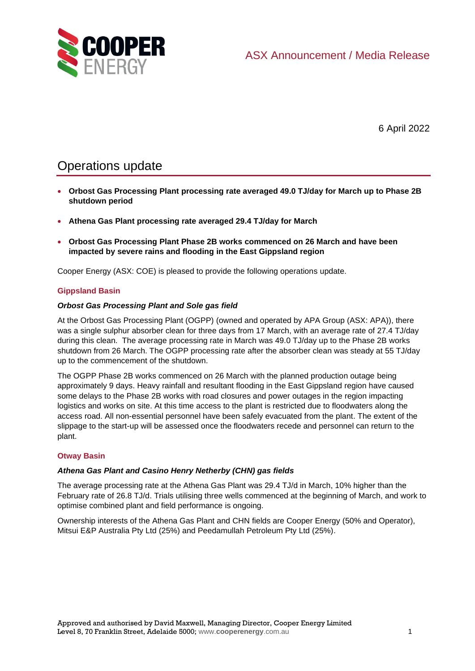

6 April 2022

# Operations update

- **Orbost Gas Processing Plant processing rate averaged 49.0 TJ/day for March up to Phase 2B shutdown period**
- **Athena Gas Plant processing rate averaged 29.4 TJ/day for March**
- **Orbost Gas Processing Plant Phase 2B works commenced on 26 March and have been impacted by severe rains and flooding in the East Gippsland region**

Cooper Energy (ASX: COE) is pleased to provide the following operations update.

## **Gippsland Basin**

### *Orbost Gas Processing Plant and Sole gas field*

At the Orbost Gas Processing Plant (OGPP) (owned and operated by APA Group (ASX: APA)), there was a single sulphur absorber clean for three days from 17 March, with an average rate of 27.4 TJ/day during this clean. The average processing rate in March was 49.0 TJ/day up to the Phase 2B works shutdown from 26 March. The OGPP processing rate after the absorber clean was steady at 55 TJ/day up to the commencement of the shutdown.

The OGPP Phase 2B works commenced on 26 March with the planned production outage being approximately 9 days. Heavy rainfall and resultant flooding in the East Gippsland region have caused some delays to the Phase 2B works with road closures and power outages in the region impacting logistics and works on site. At this time access to the plant is restricted due to floodwaters along the access road. All non-essential personnel have been safely evacuated from the plant. The extent of the slippage to the start-up will be assessed once the floodwaters recede and personnel can return to the plant.

### **Otway Basin**

### *Athena Gas Plant and Casino Henry Netherby (CHN) gas fields*

The average processing rate at the Athena Gas Plant was 29.4 TJ/d in March, 10% higher than the February rate of 26.8 TJ/d. Trials utilising three wells commenced at the beginning of March, and work to optimise combined plant and field performance is ongoing.

Ownership interests of the Athena Gas Plant and CHN fields are Cooper Energy (50% and Operator), Mitsui E&P Australia Pty Ltd (25%) and Peedamullah Petroleum Pty Ltd (25%).